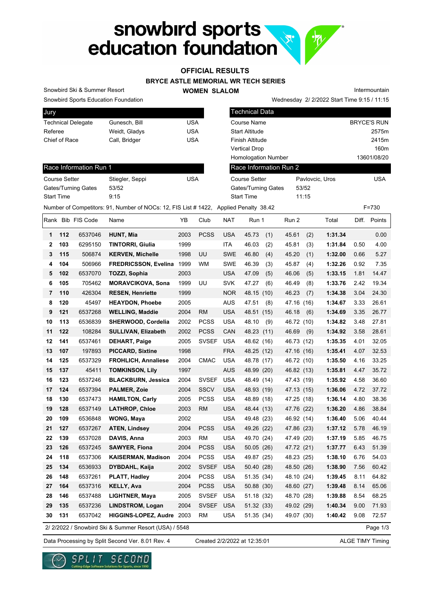# snowbird sports<br>education foundation **R.**

### **OFFICIAL RESULTS**

#### **BRYCE ASTLE MEMORIAL WR TECH SERIES**

**WOMEN SLALOM** 

Intermountain

Snowbird Sports Education Foundation

Snowbird Ski & Summer Resort

Race Information Run 1

Gates/Turning Gates 53/52

| Jury                      |               |     |
|---------------------------|---------------|-----|
| <b>Technical Delegate</b> | Gunesch, Bill | USA |
| Referee                   | Weidt, Gladys | USA |
| Chief of Race             | Call, Bridger | USA |
|                           |               |     |

Course Setter Stiegler, Seppi Course Setter

| <b>Technical Data</b>      |                 |                    |
|----------------------------|-----------------|--------------------|
| Course Name                |                 | <b>BRYCE'S RUN</b> |
| Start Altitude             |                 | 2575m              |
| Finish Altitude            |                 | 2415m              |
| Vertical Drop              |                 | 160m               |
| <b>Homologation Number</b> |                 | 13601/08/20        |
| Race Information Run 2     |                 |                    |
| Course Setter              | Paylovcic, Uros | <b>USA</b>         |
| Gates/Turning Gates        | 53/52           |                    |
| <b>Start Time</b>          | 11:15           |                    |
| $-1$ m, $-11$ , 00.40      |                 | - - - -            |

Wednesday 2/ 2/2022 Start Time 9:15 / 11:15

Start Time 9:15

|              |     |                   | Number of Competitors: 91, Number of NOCs: 12, FIS List # 1422, Applied Penalty 38.42 |      |              |            |              |            |      |         |       | F=730    |
|--------------|-----|-------------------|---------------------------------------------------------------------------------------|------|--------------|------------|--------------|------------|------|---------|-------|----------|
|              |     | Rank Bib FIS Code | Name                                                                                  | YB   | Club         | NAT        | Run 1        | Run 2      |      | Total   | Diff. | Points   |
| 1            | 112 | 6537046           | HUNT, Mia                                                                             | 2003 | <b>PCSS</b>  | <b>USA</b> | 45.73<br>(1) | 45.61      | (2)  | 1:31.34 |       | 0.00     |
| $\mathbf{2}$ | 103 | 6295150           | <b>TINTORRI, Giulia</b>                                                               | 1999 |              | ITA        | 46.03<br>(2) | 45.81      | (3)  | 1:31.84 | 0.50  | 4.00     |
| 3            | 115 | 506874            | <b>KERVEN, Michelle</b>                                                               | 1998 | UU           | <b>SWE</b> | 46.80<br>(4) | 45.20      | (1)  | 1:32.00 | 0.66  | 5.27     |
| 4            | 104 | 506966            | <b>FREDRICSSON, Evelina</b>                                                           | 1999 | <b>WM</b>    | <b>SWE</b> | 46.39<br>(3) | 45.87      | (4)  | 1:32.26 | 0.92  | 7.35     |
| 5            | 102 | 6537070           | <b>TOZZI, Sophia</b>                                                                  | 2003 |              | <b>USA</b> | 47.09<br>(5) | 46.06      | (5)  | 1:33.15 | 1.81  | 14.47    |
| 6            | 105 | 705462            | <b>MORAVCIKOVA, Sona</b>                                                              | 1999 | UU           | <b>SVK</b> | 47.27<br>(6) | 46.49      | (8)  | 1:33.76 | 2.42  | 19.34    |
| 7            | 110 | 426304            | <b>RESEN, Henriette</b>                                                               | 1999 |              | <b>NOR</b> | 48.15 (10)   | 46.23      | (7)  | 1:34.38 | 3.04  | 24.30    |
| 8            | 120 | 45497             | <b>HEAYDON, Phoebe</b>                                                                | 2005 |              | <b>AUS</b> | 47.51<br>(8) | 47.16 (16) |      | 1:34.67 | 3.33  | 26.61    |
| 9            | 121 | 6537268           | <b>WELLING, Maddie</b>                                                                | 2004 | <b>RM</b>    | <b>USA</b> | 48.51 (15)   | 46.18      | (6)  | 1:34.69 | 3.35  | 26.77    |
| 10           | 113 | 6536839           | SHERWOOD, Cordelia                                                                    | 2002 | <b>PCSS</b>  | <b>USA</b> | 48.10<br>(9) | 46.72      | (10) | 1:34.82 | 3.48  | 27.81    |
| 11           | 122 | 108284            | <b>SULLIVAN, Elizabeth</b>                                                            | 2002 | <b>PCSS</b>  | CAN        | 48.23 (11)   | 46.69      | (9)  | 1:34.92 | 3.58  | 28.61    |
| 12           | 141 | 6537461           | <b>DEHART, Paige</b>                                                                  | 2005 | <b>SVSEF</b> | <b>USA</b> | 48.62 (16)   | 46.73 (12) |      | 1:35.35 | 4.01  | 32.05    |
| 13           | 107 | 197893            | <b>PICCARD, Sixtine</b>                                                               | 1998 |              | <b>FRA</b> | 48.25 (12)   | 47.16 (16) |      | 1:35.41 | 4.07  | 32.53    |
| 14           | 125 | 6537329           | <b>FROHLICH, Annaliese</b>                                                            | 2004 | <b>CMAC</b>  | <b>USA</b> | 48.78 (17)   | 46.72 (10) |      | 1:35.50 | 4.16  | 33.25    |
| 15           | 137 | 45411             | <b>TOMKINSON, Lily</b>                                                                | 1997 |              | <b>AUS</b> | 48.99 (20)   | 46.82 (13) |      | 1:35.81 | 4.47  | 35.72    |
| 16           | 123 | 6537246           | <b>BLACKBURN, Jessica</b>                                                             | 2004 | <b>SVSEF</b> | <b>USA</b> | 48.49 (14)   | 47.43 (19) |      | 1:35.92 | 4.58  | 36.60    |
| 17           | 124 | 6537394           | <b>PALMER, Zoie</b>                                                                   | 2004 | <b>SSCV</b>  | <b>USA</b> | 48.93 (19)   | 47.13 (15) |      | 1:36.06 | 4.72  | 37.72    |
| 18           | 130 | 6537473           | <b>HAMILTON, Carly</b>                                                                | 2005 | <b>PCSS</b>  | <b>USA</b> | 48.89 (18)   | 47.25 (18) |      | 1:36.14 | 4.80  | 38.36    |
| 19           | 128 | 6537149           | <b>LATHROP, Chloe</b>                                                                 | 2003 | <b>RM</b>    | <b>USA</b> | 48.44 (13)   | 47.76 (22) |      | 1:36.20 | 4.86  | 38.84    |
| 20           | 109 | 6536848           | <b>WONG, Maya</b>                                                                     | 2002 |              | <b>USA</b> | 49.48 (23)   | 46.92 (14) |      | 1:36.40 | 5.06  | 40.44    |
| 21           | 127 | 6537267           | <b>ATEN, Lindsey</b>                                                                  | 2004 | <b>PCSS</b>  | <b>USA</b> | 49.26 (22)   | 47.86 (23) |      | 1:37.12 | 5.78  | 46.19    |
| 22           | 139 | 6537028           | DAVIS, Anna                                                                           | 2003 | <b>RM</b>    | <b>USA</b> | 49.70 (24)   | 47.49 (20) |      | 1:37.19 | 5.85  | 46.75    |
| 23           | 126 | 6537245           | <b>SAWYER, Fiona</b>                                                                  | 2004 | <b>PCSS</b>  | <b>USA</b> | 50.05 (26)   | 47.72 (21) |      | 1:37.77 | 6.43  | 51.39    |
| 24           | 118 | 6537306           | <b>KAISERMAN, Madison</b>                                                             | 2004 | <b>PCSS</b>  | <b>USA</b> | 49.87 (25)   | 48.23 (25) |      | 1:38.10 | 6.76  | 54.03    |
| 25           | 134 | 6536933           | DYBDAHL, Kaija                                                                        | 2002 | <b>SVSEF</b> | <b>USA</b> | 50.40 (28)   | 48.50 (26) |      | 1:38.90 | 7.56  | 60.42    |
| 26           | 148 | 6537261           | PLATT, Hadley                                                                         | 2004 | <b>PCSS</b>  | <b>USA</b> | 51.35 (34)   | 48.10 (24) |      | 1:39.45 | 8.11  | 64.82    |
| 27           | 164 | 6537316           | <b>KELLY, Ava</b>                                                                     | 2004 | <b>PCSS</b>  | <b>USA</b> | 50.88 (30)   | 48.60 (27) |      | 1:39.48 | 8.14  | 65.06    |
| 28           | 146 | 6537488           | LIGHTNER, Maya                                                                        | 2005 | <b>SVSEF</b> | <b>USA</b> | 51.18 (32)   | 48.70 (28) |      | 1:39.88 | 8.54  | 68.25    |
| 29           | 135 | 6537236           | <b>LINDSTROM, Logan</b>                                                               | 2004 | <b>SVSEF</b> | <b>USA</b> | 51.32 (33)   | 49.02 (29) |      | 1:40.34 | 9.00  | 71.93    |
| 30           | 131 | 6537042           | HIGGINS-LOPEZ, Audre 2003                                                             |      | RM           | <b>USA</b> | 51.35 (34)   | 49.07 (30) |      | 1:40.42 | 9.08  | 72.57    |
|              |     |                   | 2/ 2/2022 / Snowbird Ski & Summer Resort (USA) / 5548                                 |      |              |            |              |            |      |         |       | Page 1/3 |

Created 2/2/2022 at 12:35:01

Data Processing by Split Second Ver. 8.01 Rev. 4 Created 2/2/2022 at 12:35:01 ALGE TIMY Timing

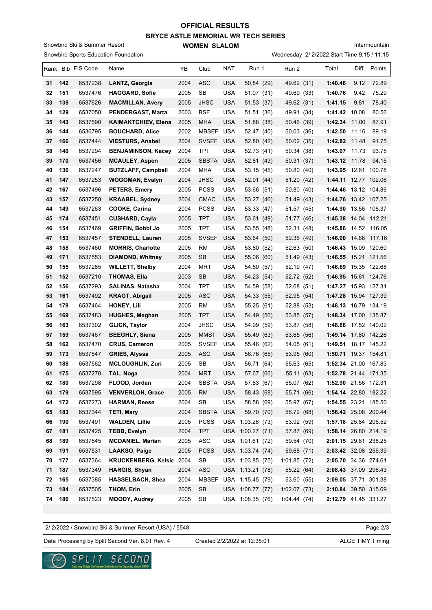## **BRYCE ASTLE MEMORIAL WR TECH SERIES WOMEN SLALOM OFFICIAL RESULTS**

Snowbird Sports Education Foundation Snowbird Ski & Summer Resort

Intermountain

Wednesday 2/ 2/2022 Start Time 9:15 / 11:15

|          |            | Rank Bib FIS Code  | Name                                     | YB           | Club                | NAT        | Run 1                    | Run 2                    | Total                                        | Diff. | Points       |
|----------|------------|--------------------|------------------------------------------|--------------|---------------------|------------|--------------------------|--------------------------|----------------------------------------------|-------|--------------|
| 31       | 142        | 6537238            | LANTZ, Georgia                           | 2004         | ASC                 | USA        | 50.84 (29)               | 49.62 (31)               | 1:40.46                                      | 9.12  | 72.89        |
| 32       | 151        | 6537476            | <b>HAGGARD, Sofie</b>                    | 2005         | SB                  | <b>USA</b> | 51.07 (31)               | 49.69 (33)               | 1:40.76                                      | 9.42  | 75.29        |
| 33       | 138        | 6537626            | <b>MACMILLAN, Avery</b>                  | 2005         | <b>JHSC</b>         | USA        | 51.53 (37)               | 49.62 (31)               | 1:41.15                                      | 9.81  | 78.40        |
| 34       | 129        | 6537058            | PENDERGAST, Marta                        | 2003         | <b>BSF</b>          | <b>USA</b> | 51.51 (36)               | 49.91 (34)               | 1:41.42 10.08                                |       | 80.56        |
| 35       | 143        | 6537590            | <b>KAIMAKTCHIEV, Elena</b>               | 2005         | MHA                 | <b>USA</b> | 51.88 (38)               | 50.46 (39)               | 1:42.34 11.00                                |       | 87.91        |
| 36       | 144        | 6536795            | <b>BOUCHARD, Alice</b>                   | 2002         | MBSEF               | USA        | 52.47 (40)               | 50.03 (36)               | 1:42.50                                      | 11.16 | 89.19        |
| 37       | 166        | 6537444            | <b>VIESTURS, Anabel</b>                  | 2004         | <b>SVSEF</b>        | <b>USA</b> | 52.80 (42)               | 50.02 (35)               | 1:42.82 11.48                                |       | 91.75        |
| 38       | 140        | 6537294            | <b>BENJAMINSON, Kacey</b>                | 2004         | TPT                 | <b>USA</b> | 52.73 (41)               | 50.34 (38)               | $1:43.07$ 11.73                              |       | 93.75        |
| 39       | 170        | 6537456            | <b>MCAULEY, Aspen</b>                    | 2005         | <b>SBSTA</b>        | <b>USA</b> | 52.81 (43)               | 50.31 (37)               | 1:43.12 11.78                                |       | 94.15        |
| 40       | 136        | 6537247            | <b>BUTZLAFF, Campbell</b>                | 2004         | MHA                 | USA        | 53.15 (45)               | 50.80 (40)               | 1:43.95 12.61 100.78                         |       |              |
| 41       | 147        | 6537253            | <b>WOGOMAN, Evalyn</b>                   | 2004         | <b>JHSC</b>         | USA        | 52.91 (44)               | 51.20 (42)               | 1:44.11 12.77 102.06                         |       |              |
| 42       | 167        | 6537496            | PETERS, Emery                            | 2005         | <b>PCSS</b>         | USA        | 53.66 (51)               | 50.80 (40)               | 1:44.46 13.12 104.86                         |       |              |
| 43       | 157        | 6537258            | <b>KRAABEL, Sydney</b>                   | 2004         | <b>CMAC</b>         | USA        | 53.27 (46)               | 51.49 (43)               | 1:44.76 13.42 107.25                         |       |              |
| 44       | 149        | 6537263            | <b>COOKE, Carina</b>                     | 2004         | <b>PCSS</b>         | USA        | 53.33 (47)               | 51.57 (45)               | 1:44.90                                      |       | 13.56 108.37 |
| 45       | 174        | 6537451            | <b>CUSHARD, Cayla</b>                    | 2005         | <b>TPT</b>          | USA        | 53.61 (49)               | 51.77 (46)               | 1:45.38                                      |       | 14.04 112.21 |
| 46       | 154        | 6537469            | <b>GRIFFIN, Bobbi Jo</b>                 | 2005         | TPT                 | <b>USA</b> | 53.55 (48)               | 52.31 (48)               | 1:45.86 14.52 116.05                         |       |              |
| 47       | 153        | 6537457            | <b>STENDELL, Lauren</b>                  | 2005         | <b>SVSEF</b>        | <b>USA</b> | 53.64 (50)               | 52.36 (49)               | 1:46.00                                      |       | 14.66 117.16 |
| 48       | 158        | 6537460            | <b>MORRIS, Charlotte</b>                 | 2005         | RM                  | USA        | 53.80 (52)               | 52.63 (50)               | 1:46.43 15.09 120.60                         |       |              |
| 49       | 171        | 6537553            | <b>DIAMOND, Whitney</b>                  | 2005         | <b>SB</b>           | <b>USA</b> | 55.06 (60)               | 51.49 (43)               | 1:46.55 15.21 121.56                         |       |              |
| 50       | 155        | 6537285            | <b>WILLETT, Shelby</b>                   | 2004         | MRT                 | <b>USA</b> | 54.50 (57)               | 52.19 (47)               | 1:46.69 15.35 122.68                         |       |              |
| 51       | 152        | 6537210            | <b>THOMAS, Ella</b>                      | 2003         | SВ                  | USA        | 54.23 (54)               | 52.72 (52)               | 1:46.95 15.61 124.76                         |       |              |
| 52       | 156        | 6537293            | <b>SALINAS, Natasha</b>                  | 2004         | TPT                 | USA        | 54.59 (58)               | 52.68 (51)               | 1:47.27 15.93 127.31                         |       |              |
| 53       | 161        | 6537492            | <b>KRAGT, Abigail</b>                    | 2005         | ASC                 | USA        | 54.33 (55)               | 52.95 (54)               | 1:47.28                                      |       | 15.94 127.39 |
| 54       | 178        | 6537464            | <b>HONEY, Lili</b>                       | 2005         | RM                  | USA        | 55.25 (61)               | 52.88 (53)               | 1:48.13 16.79 134.19                         |       |              |
| 55       | 169        | 6537483            | <b>HUGHES, Meghan</b>                    | 2005         | TPT                 | USA        | 54.49 (56)               | 53.85 (57)               | 1:48.34 17.00 135.87                         |       |              |
| 56       | 163        | 6537302            | <b>GLICK, Taylor</b>                     | 2004         | JHSC                | USA        | 54.99 (59)               | 53.87 (58)               | 1:48.86 17.52 140.02                         |       |              |
| 57       | 159        | 6537467            | <b>BEEGHLY, Siena</b>                    | 2005         | MMST                | USA        | 55.49 (63)               | 53.65 (56)               | 1:49.14 17.80 142.26                         |       |              |
| 58       | 162        | 6537470            | <b>CRUS, Cameron</b>                     | 2005         | <b>SVSEF</b>        | USA        | 55.46 (62)               | 54.05 (61)               | 1:49.51 18.17 145.22                         |       |              |
| 59       | 173        | 6537547            | <b>GRIES, Alyssa</b>                     | 2005         | <b>ASC</b>          | USA        | 56.76 (65)               | 53.95 (60)               | 1:50.71 19.37 154.81                         |       |              |
| 60       | 188        | 6537562<br>6537278 | <b>MCLOUGHLIN, Zuri</b>                  | 2005         | SB                  | <b>USA</b> | 56.71 (64)               | 55.63 (65)               | 1:52.34 21.00 167.83                         |       |              |
| 61<br>62 | 175        |                    | TAL, Noga                                | 2004         | MRT<br><b>SBSTA</b> | USA        | 57.67 (66)               | 55.11 (63)               | 1:52.78 21.44 171.35                         |       |              |
| 63       | 180<br>179 | 6537298<br>6537595 | FLOOD, Jordan<br><b>VENVERLOH, Grace</b> | 2004<br>2005 | <b>RM</b>           | USA<br>USA | 57.83 (67)<br>58.43 (68) | 55.07 (62)<br>55.71 (66) | 1:52.90 21.56 172.31<br>1:54.14 22.80 182.22 |       |              |
| 64       | 172        | 6537273            | <b>HARMAN, Reese</b>                     | 2004         | SB                  | USA        | 58.58 (69)               | 55.97 (67)               | 1:54.55 23.21 185.50                         |       |              |
| 65       | 183        | 6537344            | <b>TETI, Mary</b>                        | 2004         | <b>SBSTA</b>        | <b>USA</b> | 59.70 (70)               | 56.72 (68)               | 1:56.42 25.08 200.44                         |       |              |
| 66       | 190        | 6537491            | <b>WALDEN, Lillie</b>                    | 2005         | <b>PCSS</b>         |            | USA 1:03.26 (73)         | 53.92 (59)               | 1:57.18 25.84 206.52                         |       |              |
| 67       | 181        | 6537425            | <b>TEBB, Evelyn</b>                      | 2004         | <b>TPT</b>          |            | USA 1:00.27 (71)         | 57.87 (69)               | 1:58.14 26.80 214.19                         |       |              |
| 68       | 189        | 6537645            | <b>MCDANIEL, Marian</b>                  | 2005         | <b>ASC</b>          |            | USA 1:01.61 (72)         | 59.54 (70)               | 2:01.15 29.81 238.25                         |       |              |
| 69       | 191        | 6537531            | LAAKSO, Paige                            | 2005         | <b>PCSS</b>         |            | USA 1:03.74 (74)         | 59.68 (71)               | 2:03.42 32.08 256.39                         |       |              |
| 70       | 177        | 6537364            | <b>KRUCKENBERG, Kelsie</b>               | 2004         | SB                  |            | USA 1:03.85 (75)         | 1:01.85(72)              | 2:05.70 34.36 274.61                         |       |              |
| 71       | 187        | 6537349            | <b>HARGIS, Shyan</b>                     | 2004         | <b>ASC</b>          |            | USA 1:13.21 (78)         | 55.22 (64)               | 2:08.43 37.09 296.43                         |       |              |
| 72       | 165        | 6537385            | <b>HASSELBACH, Shea</b>                  | 2004         | MBSEF               |            | USA 1:15.45 (79)         | 53.60 (55)               | 2:09.05 37.71 301.38                         |       |              |
| 73       | 184        | 6537505            | <b>THOM, Erin</b>                        | 2005         | <b>SB</b>           |            | USA 1:08.77 (77)         | 1:02.07(73)              | 2:10.84 39.50 315.69                         |       |              |
| 74       | 186        | 6537523            | MOODY, Audrey                            | 2005         | SB                  |            | USA 1:08.35 (76)         | 1:04.44(74)              | 2:12.79 41.45 331.27                         |       |              |
|          |            |                    |                                          |              |                     |            |                          |                          |                                              |       |              |

2/ 2/2022 / Snowbird Ski & Summer Resort (USA) / 5548

Page 2/3

Data Processing by Split Second Ver. 8.01 Rev. 4 Created 2/2/2022 at 12:35:01 ALGE TIMY Timing

Created 2/2/2022 at 12:35:01